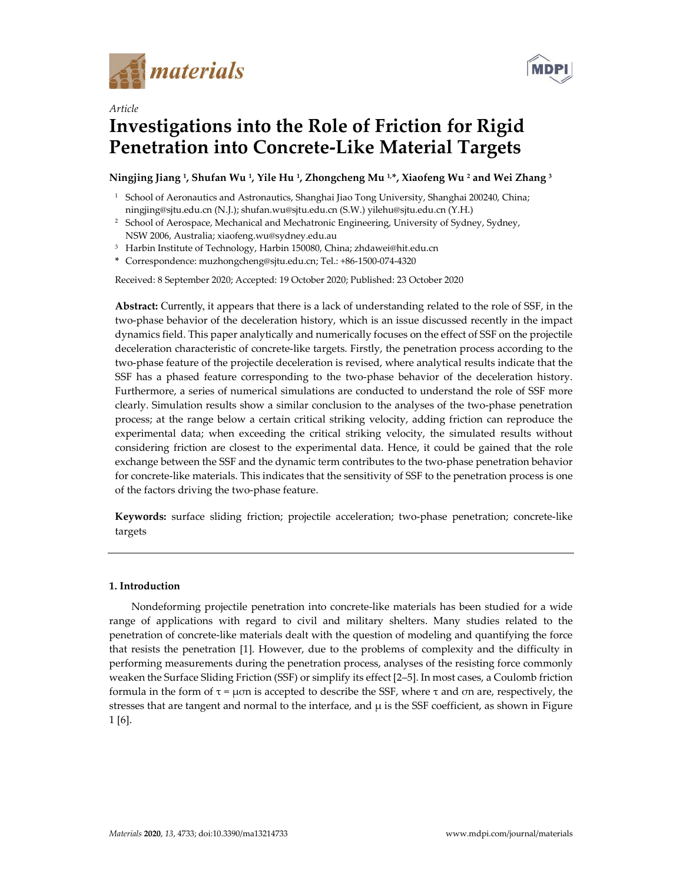

*Article*



# **Investigations into the Role of Friction for Rigid Penetration into Concrete-Like Material Targets**

# **Ningjing Jiang 1, Shufan Wu 1, Yile Hu 1, Zhongcheng Mu 1,\*, Xiaofeng Wu 2 and Wei Zhang 3**

- <sup>1</sup> School of Aeronautics and Astronautics, Shanghai Jiao Tong University, Shanghai 200240, China; ningjing@sjtu.edu.cn (N.J.); shufan.wu@sjtu.edu.cn (S.W.) yilehu@sjtu.edu.cn (Y.H.)
- <sup>2</sup> School of Aerospace, Mechanical and Mechatronic Engineering, University of Sydney, Sydney, NSW 2006, Australia; xiaofeng.wu@sydney.edu.au
- <sup>3</sup> Harbin Institute of Technology, Harbin 150080, China; zhdawei@hit.edu.cn
- **\*** Correspondence: muzhongcheng@sjtu.edu.cn; Tel.: +86-1500-074-4320

Received: 8 September 2020; Accepted: 19 October 2020; Published: 23 October 2020

**Abstract:** Currently, it appears that there is a lack of understanding related to the role of SSF, in the two-phase behavior of the deceleration history, which is an issue discussed recently in the impact dynamics field. This paper analytically and numerically focuses on the effect of SSF on the projectile deceleration characteristic of concrete-like targets. Firstly, the penetration process according to the two-phase feature of the projectile deceleration is revised, where analytical results indicate that the SSF has a phased feature corresponding to the two-phase behavior of the deceleration history. Furthermore, a series of numerical simulations are conducted to understand the role of SSF more clearly. Simulation results show a similar conclusion to the analyses of the two-phase penetration process; at the range below a certain critical striking velocity, adding friction can reproduce the experimental data; when exceeding the critical striking velocity, the simulated results without considering friction are closest to the experimental data. Hence, it could be gained that the role exchange between the SSF and the dynamic term contributes to the two-phase penetration behavior for concrete-like materials. This indicates that the sensitivity of SSF to the penetration process is one of the factors driving the two-phase feature.

**Keywords:** surface sliding friction; projectile acceleration; two-phase penetration; concrete-like targets

## **1. Introduction**

Nondeforming projectile penetration into concrete-like materials has been studied for a wide range of applications with regard to civil and military shelters. Many studies related to the penetration of concrete-like materials dealt with the question of modeling and quantifying the force that resists the penetration [1]. However, due to the problems of complexity and the difficulty in performing measurements during the penetration process, analyses of the resisting force commonly weaken the Surface Sliding Friction (SSF) or simplify its effect [2–5]. In most cases, a Coulomb friction formula in the form of τ = μσn is accepted to describe the SSF, where τ and σn are, respectively, the stresses that are tangent and normal to the interface, and  $\mu$  is the SSF coefficient, as shown in Figure 1 [6].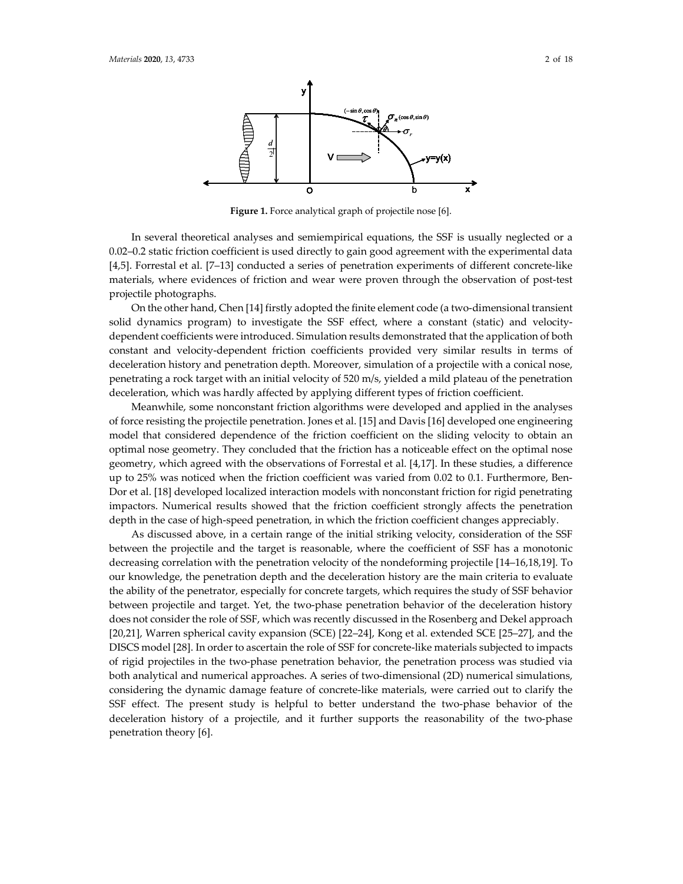

**Figure 1.** Force analytical graph of projectile nose [6].

In several theoretical analyses and semiempirical equations, the SSF is usually neglected or a 0.02–0.2 static friction coefficient is used directly to gain good agreement with the experimental data [4,5]. Forrestal et al. [7–13] conducted a series of penetration experiments of different concrete-like materials, where evidences of friction and wear were proven through the observation of post-test projectile photographs.

On the other hand, Chen [14] firstly adopted the finite element code (a two-dimensional transient solid dynamics program) to investigate the SSF effect, where a constant (static) and velocitydependent coefficients were introduced. Simulation results demonstrated that the application of both constant and velocity-dependent friction coefficients provided very similar results in terms of deceleration history and penetration depth. Moreover, simulation of a projectile with a conical nose, penetrating a rock target with an initial velocity of 520 m/s, yielded a mild plateau of the penetration deceleration, which was hardly affected by applying different types of friction coefficient.

Meanwhile, some nonconstant friction algorithms were developed and applied in the analyses of force resisting the projectile penetration. Jones et al. [15] and Davis [16] developed one engineering model that considered dependence of the friction coefficient on the sliding velocity to obtain an optimal nose geometry. They concluded that the friction has a noticeable effect on the optimal nose geometry, which agreed with the observations of Forrestal et al. [4,17]. In these studies, a difference up to 25% was noticed when the friction coefficient was varied from 0.02 to 0.1. Furthermore, Ben-Dor et al. [18] developed localized interaction models with nonconstant friction for rigid penetrating impactors. Numerical results showed that the friction coefficient strongly affects the penetration depth in the case of high-speed penetration, in which the friction coefficient changes appreciably.

As discussed above, in a certain range of the initial striking velocity, consideration of the SSF between the projectile and the target is reasonable, where the coefficient of SSF has a monotonic decreasing correlation with the penetration velocity of the nondeforming projectile [14–16,18,19]. To our knowledge, the penetration depth and the deceleration history are the main criteria to evaluate the ability of the penetrator, especially for concrete targets, which requires the study of SSF behavior between projectile and target. Yet, the two-phase penetration behavior of the deceleration history does not consider the role of SSF, which was recently discussed in the Rosenberg and Dekel approach [20,21], Warren spherical cavity expansion (SCE) [22–24], Kong et al. extended SCE [25–27], and the DISCS model [28]. In order to ascertain the role of SSF for concrete-like materials subjected to impacts of rigid projectiles in the two-phase penetration behavior, the penetration process was studied via both analytical and numerical approaches. A series of two-dimensional (2D) numerical simulations, considering the dynamic damage feature of concrete-like materials, were carried out to clarify the SSF effect. The present study is helpful to better understand the two-phase behavior of the deceleration history of a projectile, and it further supports the reasonability of the two-phase penetration theory [6].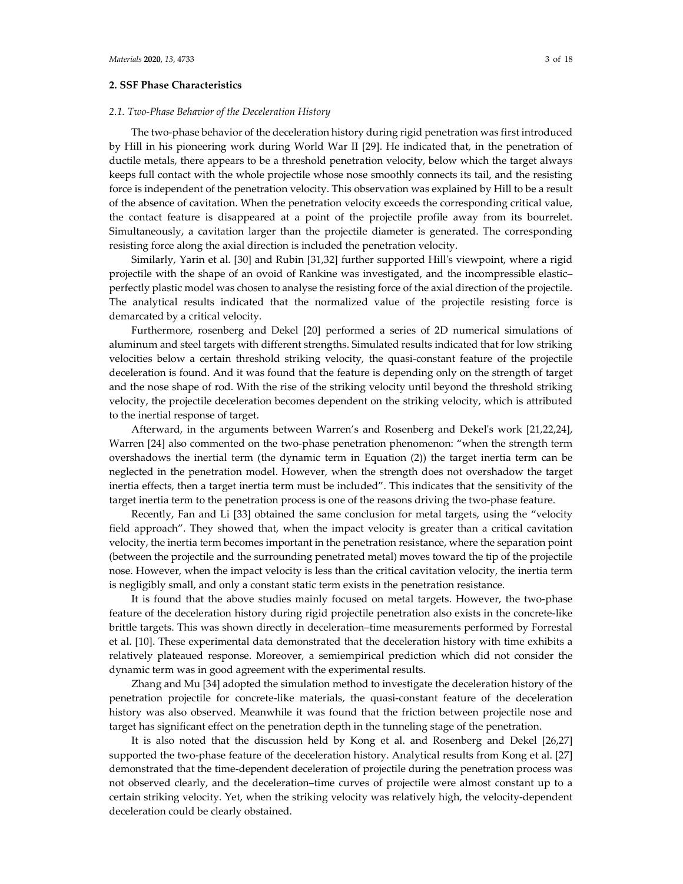## **2. SSF Phase Characteristics**

#### *2.1. Two-Phase Behavior of the Deceleration History*

The two-phase behavior of the deceleration history during rigid penetration was first introduced by Hill in his pioneering work during World War II [29]. He indicated that, in the penetration of ductile metals, there appears to be a threshold penetration velocity, below which the target always keeps full contact with the whole projectile whose nose smoothly connects its tail, and the resisting force is independent of the penetration velocity. This observation was explained by Hill to be a result of the absence of cavitation. When the penetration velocity exceeds the corresponding critical value, the contact feature is disappeared at a point of the projectile profile away from its bourrelet. Simultaneously, a cavitation larger than the projectile diameter is generated. The corresponding resisting force along the axial direction is included the penetration velocity.

Similarly, Yarin et al. [30] and Rubin [31,32] further supported Hill's viewpoint, where a rigid projectile with the shape of an ovoid of Rankine was investigated, and the incompressible elastic– perfectly plastic model was chosen to analyse the resisting force of the axial direction of the projectile. The analytical results indicated that the normalized value of the projectile resisting force is demarcated by a critical velocity.

Furthermore, rosenberg and Dekel [20] performed a series of 2D numerical simulations of aluminum and steel targets with different strengths. Simulated results indicated that for low striking velocities below a certain threshold striking velocity, the quasi-constant feature of the projectile deceleration is found. And it was found that the feature is depending only on the strength of target and the nose shape of rod. With the rise of the striking velocity until beyond the threshold striking velocity, the projectile deceleration becomes dependent on the striking velocity, which is attributed to the inertial response of target.

Afterward, in the arguments between Warren's and Rosenberg and Dekel's work [21,22,24], Warren [24] also commented on the two-phase penetration phenomenon: "when the strength term overshadows the inertial term (the dynamic term in Equation (2)) the target inertia term can be neglected in the penetration model. However, when the strength does not overshadow the target inertia effects, then a target inertia term must be included". This indicates that the sensitivity of the target inertia term to the penetration process is one of the reasons driving the two-phase feature.

Recently, Fan and Li [33] obtained the same conclusion for metal targets, using the "velocity field approach". They showed that, when the impact velocity is greater than a critical cavitation velocity, the inertia term becomes important in the penetration resistance, where the separation point (between the projectile and the surrounding penetrated metal) moves toward the tip of the projectile nose. However, when the impact velocity is less than the critical cavitation velocity, the inertia term is negligibly small, and only a constant static term exists in the penetration resistance.

It is found that the above studies mainly focused on metal targets. However, the two-phase feature of the deceleration history during rigid projectile penetration also exists in the concrete-like brittle targets. This was shown directly in deceleration–time measurements performed by Forrestal et al. [10]. These experimental data demonstrated that the deceleration history with time exhibits a relatively plateaued response. Moreover, a semiempirical prediction which did not consider the dynamic term was in good agreement with the experimental results.

Zhang and Mu [34] adopted the simulation method to investigate the deceleration history of the penetration projectile for concrete-like materials, the quasi-constant feature of the deceleration history was also observed. Meanwhile it was found that the friction between projectile nose and target has significant effect on the penetration depth in the tunneling stage of the penetration.

It is also noted that the discussion held by Kong et al. and Rosenberg and Dekel [26,27] supported the two-phase feature of the deceleration history. Analytical results from Kong et al. [27] demonstrated that the time-dependent deceleration of projectile during the penetration process was not observed clearly, and the deceleration–time curves of projectile were almost constant up to a certain striking velocity. Yet, when the striking velocity was relatively high, the velocity-dependent deceleration could be clearly obstained.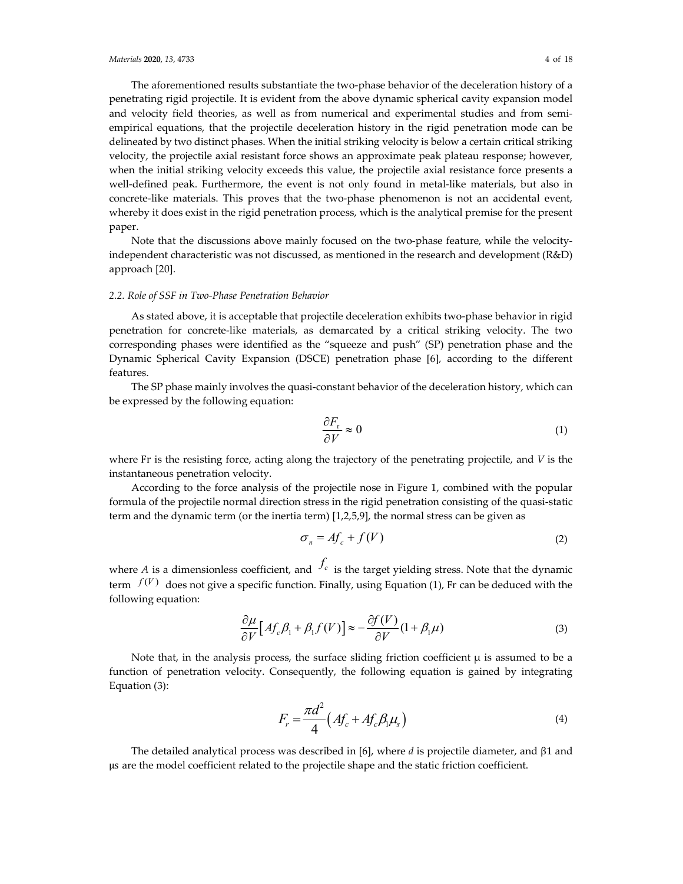The aforementioned results substantiate the two-phase behavior of the deceleration history of a penetrating rigid projectile. It is evident from the above dynamic spherical cavity expansion model and velocity field theories, as well as from numerical and experimental studies and from semiempirical equations, that the projectile deceleration history in the rigid penetration mode can be delineated by two distinct phases. When the initial striking velocity is below a certain critical striking velocity, the projectile axial resistant force shows an approximate peak plateau response; however, when the initial striking velocity exceeds this value, the projectile axial resistance force presents a well-defined peak. Furthermore, the event is not only found in metal-like materials, but also in concrete-like materials. This proves that the two-phase phenomenon is not an accidental event, whereby it does exist in the rigid penetration process, which is the analytical premise for the present paper.

Note that the discussions above mainly focused on the two-phase feature, while the velocityindependent characteristic was not discussed, as mentioned in the research and development (R&D) approach [20].

## *2.2. Role of SSF in Two-Phase Penetration Behavior*

As stated above, it is acceptable that projectile deceleration exhibits two-phase behavior in rigid penetration for concrete-like materials, as demarcated by a critical striking velocity. The two corresponding phases were identified as the "squeeze and push" (SP) penetration phase and the Dynamic Spherical Cavity Expansion (DSCE) penetration phase [6], according to the different features.

The SP phase mainly involves the quasi-constant behavior of the deceleration history, which can be expressed by the following equation:

$$
\frac{\partial F_{\rm r}}{\partial V} \approx 0\tag{1}
$$

where Fr is the resisting force, acting along the trajectory of the penetrating projectile, and *V* is the instantaneous penetration velocity.

According to the force analysis of the projectile nose in Figure 1, combined with the popular formula of the projectile normal direction stress in the rigid penetration consisting of the quasi-static term and the dynamic term (or the inertia term) [1,2,5,9], the normal stress can be given as

$$
\sigma_n = Af_c + f(V) \tag{2}
$$

where *A* is a dimensionless coefficient, and  $f_c$  is the target yielding stress. Note that the dynamic term  $f(V)$  does not give a specific function. Finally, using Equation (1), Fr can be deduced with the following equation:

$$
\frac{\partial \mu}{\partial V} \Big[ A f_c \beta_1 + \beta_1 f(V) \Big] \approx -\frac{\partial f(V)}{\partial V} (1 + \beta_1 \mu) \tag{3}
$$

Note that, in the analysis process, the surface sliding friction coefficient  $\mu$  is assumed to be a function of penetration velocity. Consequently, the following equation is gained by integrating Equation (3):

$$
F_r = \frac{\pi d^2}{4} \left( A f_c + A f_c \beta_1 \mu_s \right) \tag{4}
$$

The detailed analytical process was described in [6], where *d* is projectile diameter, and β1 and μs are the model coefficient related to the projectile shape and the static friction coefficient.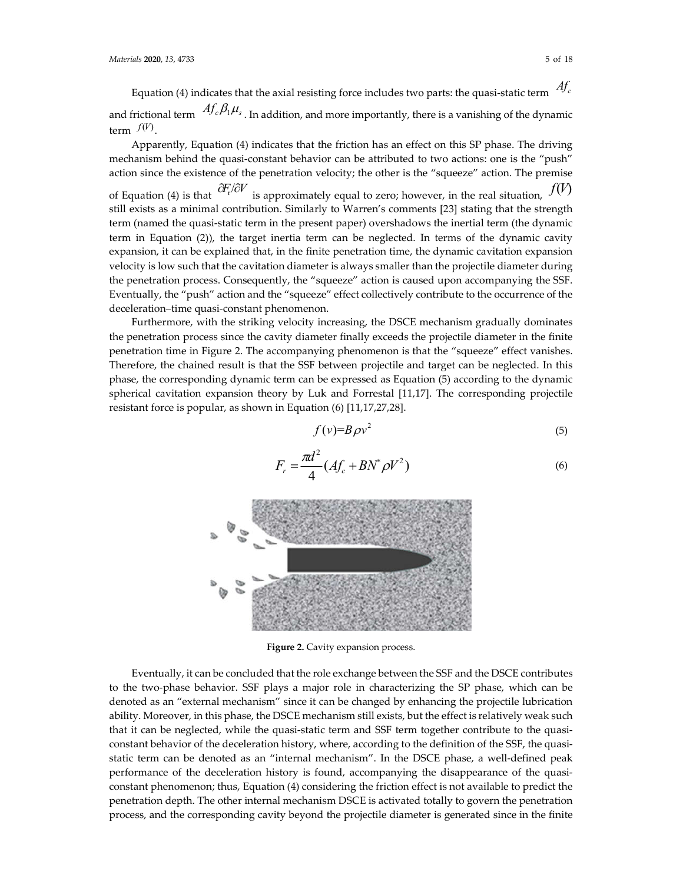Equation (4) indicates that the axial resisting force includes two parts: the quasi-static term *Afc* and frictional term  $A f_c \beta_1 \mu_s$ . In addition, and more importantly, there is a vanishing of the dynamic term  $f(V)$ .

Apparently, Equation (4) indicates that the friction has an effect on this SP phase. The driving mechanism behind the quasi-constant behavior can be attributed to two actions: one is the "push" action since the existence of the penetration velocity; the other is the "squeeze" action. The premise of Equation (4) is that  $\partial F_r / \partial V$  is approximately equal to zero; however, in the real situation,  $f(V)$ still exists as a minimal contribution. Similarly to Warren's comments [23] stating that the strength term (named the quasi-static term in the present paper) overshadows the inertial term (the dynamic term in Equation (2)), the target inertia term can be neglected. In terms of the dynamic cavity expansion, it can be explained that, in the finite penetration time, the dynamic cavitation expansion velocity is low such that the cavitation diameter is always smaller than the projectile diameter during the penetration process. Consequently, the "squeeze" action is caused upon accompanying the SSF. Eventually, the "push" action and the "squeeze" effect collectively contribute to the occurrence of the deceleration–time quasi-constant phenomenon.

Furthermore, with the striking velocity increasing, the DSCE mechanism gradually dominates the penetration process since the cavity diameter finally exceeds the projectile diameter in the finite penetration time in Figure 2. The accompanying phenomenon is that the "squeeze" effect vanishes. Therefore, the chained result is that the SSF between projectile and target can be neglected. In this phase, the corresponding dynamic term can be expressed as Equation (5) according to the dynamic spherical cavitation expansion theory by Luk and Forrestal [11,17]. The corresponding projectile resistant force is popular, as shown in Equation (6) [11,17,27,28].

$$
f(v)=B\rho v^2\tag{5}
$$

$$
F_r = \frac{\pi d^2}{4} (Af_c + BN^* \rho V^2)
$$
 (6)



**Figure 2.** Cavity expansion process.

Eventually, it can be concluded that the role exchange between the SSF and the DSCE contributes to the two-phase behavior. SSF plays a major role in characterizing the SP phase, which can be denoted as an "external mechanism" since it can be changed by enhancing the projectile lubrication ability. Moreover, in this phase, the DSCE mechanism still exists, but the effect is relatively weak such that it can be neglected, while the quasi-static term and SSF term together contribute to the quasiconstant behavior of the deceleration history, where, according to the definition of the SSF, the quasistatic term can be denoted as an "internal mechanism". In the DSCE phase, a well-defined peak performance of the deceleration history is found, accompanying the disappearance of the quasiconstant phenomenon; thus, Equation (4) considering the friction effect is not available to predict the penetration depth. The other internal mechanism DSCE is activated totally to govern the penetration process, and the corresponding cavity beyond the projectile diameter is generated since in the finite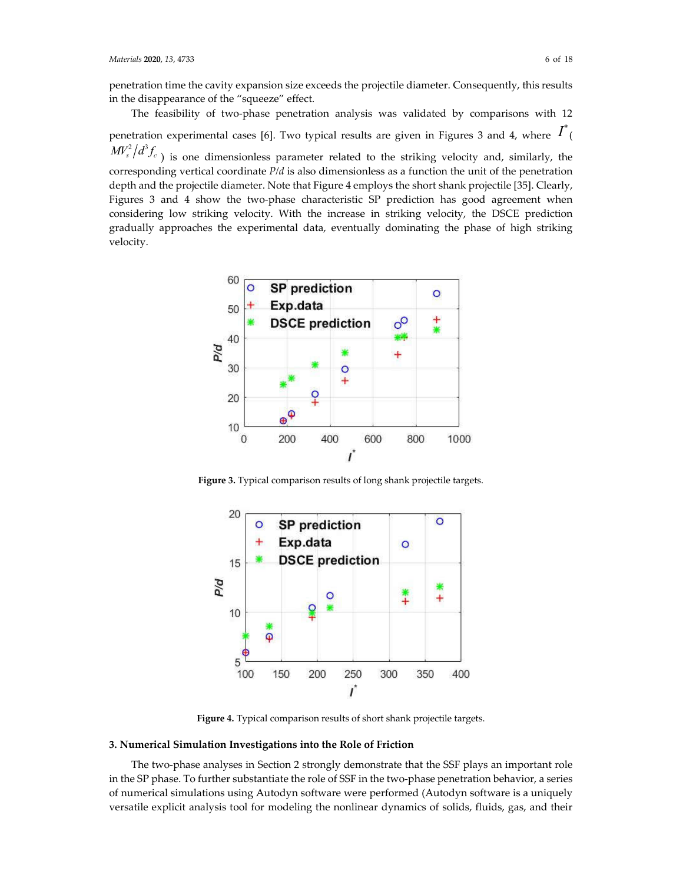penetration time the cavity expansion size exceeds the projectile diameter. Consequently, this results in the disappearance of the "squeeze" effect.

The feasibility of two-phase penetration analysis was validated by comparisons with 12 penetration experimental cases [6]. Two typical results are given in Figures 3 and 4, where  $\overline{I}^*$  (  $M V_s^2/d^3 f_c$  ) is one dimensionless parameter related to the striking velocity and, similarly, the corresponding vertical coordinate *P/d* is also dimensionless as a function the unit of the penetration depth and the projectile diameter. Note that Figure 4 employs the short shank projectile [35]. Clearly, Figures 3 and 4 show the two-phase characteristic SP prediction has good agreement when considering low striking velocity. With the increase in striking velocity, the DSCE prediction gradually approaches the experimental data, eventually dominating the phase of high striking velocity.



**Figure 3.** Typical comparison results of long shank projectile targets.



**Figure 4.** Typical comparison results of short shank projectile targets.

#### **3. Numerical Simulation Investigations into the Role of Friction**

The two-phase analyses in Section 2 strongly demonstrate that the SSF plays an important role in the SP phase. To further substantiate the role of SSF in the two-phase penetration behavior, a series of numerical simulations using Autodyn software were performed (Autodyn software is a uniquely versatile explicit analysis tool for modeling the nonlinear dynamics of solids, fluids, gas, and their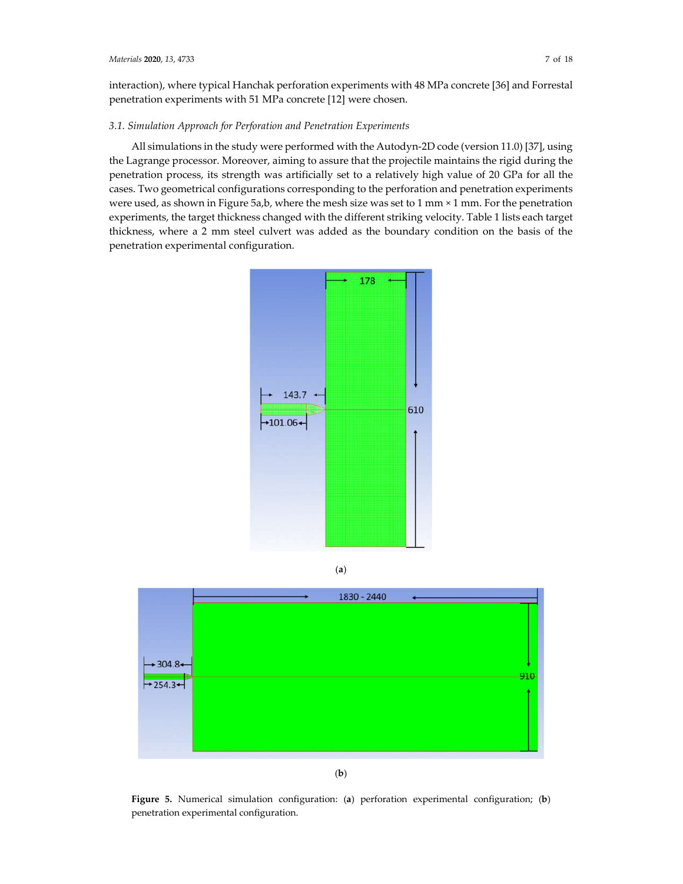interaction), where typical Hanchak perforation experiments with 48 MPa concrete [36] and Forrestal penetration experiments with 51 MPa concrete [12] were chosen.

### *3.1. Simulation Approach for Perforation and Penetration Experiments*

All simulations in the study were performed with the Autodyn-2D code (version 11.0) [37], using the Lagrange processor. Moreover, aiming to assure that the projectile maintains the rigid during the penetration process, its strength was artificially set to a relatively high value of 20 GPa for all the cases. Two geometrical configurations corresponding to the perforation and penetration experiments were used, as shown in Figure 5a,b, where the mesh size was set to 1 mm  $\times$  1 mm. For the penetration experiments, the target thickness changed with the different striking velocity. Table 1 lists each target thickness, where a 2 mm steel culvert was added as the boundary condition on the basis of the penetration experimental configuration.



(**a**)



**Figure 5.** Numerical simulation configuration: (**a**) perforation experimental configuration; (**b**) penetration experimental configuration.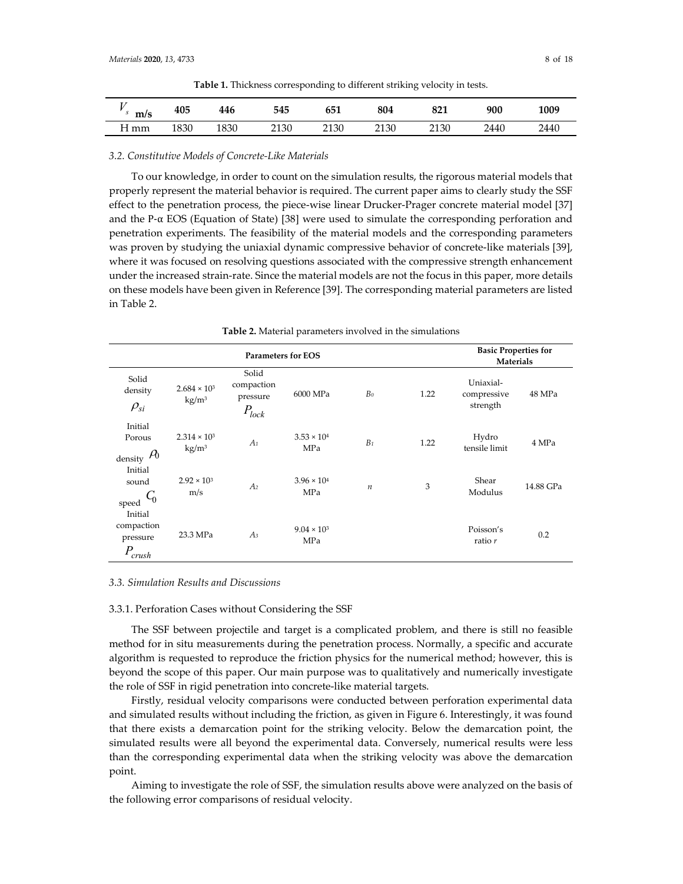| $V_{s}$ m/s | 405  | 446  | 545  | 651  | 804  | 821  | 900  | 1009 |
|-------------|------|------|------|------|------|------|------|------|
| $H$ mm      | 1830 | 1830 | 2130 | 2130 | 2130 | 2130 | 2440 | 2440 |

**Table 1.** Thickness corresponding to different striking velocity in tests.

### *3.2. Constitutive Models of Concrete-Like Materials*

To our knowledge, in order to count on the simulation results, the rigorous material models that properly represent the material behavior is required. The current paper aims to clearly study the SSF effect to the penetration process, the piece-wise linear Drucker-Prager concrete material model [37] and the P- $\alpha$  EOS (Equation of State) [38] were used to simulate the corresponding perforation and penetration experiments. The feasibility of the material models and the corresponding parameters was proven by studying the uniaxial dynamic compressive behavior of concrete-like materials [39], where it was focused on resolving questions associated with the compressive strength enhancement under the increased strain-rate. Since the material models are not the focus in this paper, more details on these models have been given in Reference [39]. The corresponding material parameters are listed in Table 2.

**Table 2.** Material parameters involved in the simulations

|                                                                |                                            |                                               | <b>Basic Properties for</b><br>Materials |         |      |                                      |           |
|----------------------------------------------------------------|--------------------------------------------|-----------------------------------------------|------------------------------------------|---------|------|--------------------------------------|-----------|
| Solid<br>density<br>$\rho_{si}$                                | $2.684 \times 10^3$<br>kg/m <sup>3</sup>   | Solid<br>compaction<br>pressure<br>$P_{lock}$ | 6000 MPa                                 | Bo      | 1.22 | Uniaxial-<br>compressive<br>strength | 48 MPa    |
| Initial<br>Porous<br>density $\rho_0$                          | $2.314 \times 10^{3}$<br>kg/m <sup>3</sup> | A <sub>1</sub>                                | $3.53 \times 10^{4}$<br>MPa              | $B_1$   | 1.22 | Hydro<br>tensile limit               | 4 MPa     |
| Initial<br>sound<br>$\mathfrak{c}_0$<br>speed                  | $2.92 \times 10^{3}$<br>m/s                | A <sub>2</sub>                                | $3.96 \times 10^{4}$<br>MPa              | $\it n$ | 3    | Shear<br>Modulus                     | 14.88 GPa |
| Initial<br>compaction<br>pressure<br>$\boldsymbol{P}$<br>crush | 23.3 MPa                                   | A <sub>3</sub>                                | $9.04 \times 10^{3}$<br>MPa              |         |      | Poisson's<br>ratio $r$               | 0.2       |

## *3.3. Simulation Results and Discussions*

#### 3.3.1. Perforation Cases without Considering the SSF

The SSF between projectile and target is a complicated problem, and there is still no feasible method for in situ measurements during the penetration process. Normally, a specific and accurate algorithm is requested to reproduce the friction physics for the numerical method; however, this is beyond the scope of this paper. Our main purpose was to qualitatively and numerically investigate the role of SSF in rigid penetration into concrete-like material targets.

Firstly, residual velocity comparisons were conducted between perforation experimental data and simulated results without including the friction, as given in Figure 6. Interestingly, it was found that there exists a demarcation point for the striking velocity. Below the demarcation point, the simulated results were all beyond the experimental data. Conversely, numerical results were less than the corresponding experimental data when the striking velocity was above the demarcation point.

Aiming to investigate the role of SSF, the simulation results above were analyzed on the basis of the following error comparisons of residual velocity.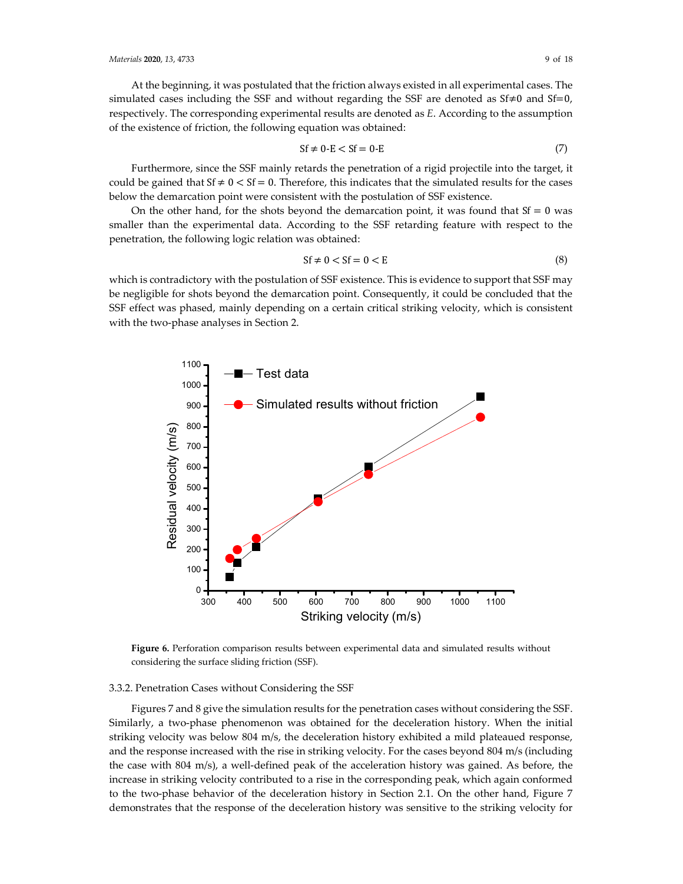At the beginning, it was postulated that the friction always existed in all experimental cases. The simulated cases including the SSF and without regarding the SSF are denoted as  $Sf \neq 0$  and  $Sf=0$ , respectively. The corresponding experimental results are denoted as *E*. According to the assumption of the existence of friction, the following equation was obtained:

$$
Sf \neq 0 - E < Sf = 0 - E \tag{7}
$$

Furthermore, since the SSF mainly retards the penetration of a rigid projectile into the target, it could be gained that  $Sf \neq 0 < Sf = 0$ . Therefore, this indicates that the simulated results for the cases below the demarcation point were consistent with the postulation of SSF existence.

On the other hand, for the shots beyond the demarcation point, it was found that  $Sf = 0$  was smaller than the experimental data. According to the SSF retarding feature with respect to the penetration, the following logic relation was obtained:

$$
Sf \neq 0 < Sf = 0 < E \tag{8}
$$

which is contradictory with the postulation of SSF existence. This is evidence to support that SSF may be negligible for shots beyond the demarcation point. Consequently, it could be concluded that the SSF effect was phased, mainly depending on a certain critical striking velocity, which is consistent with the two-phase analyses in Section 2.



**Figure 6.** Perforation comparison results between experimental data and simulated results without considering the surface sliding friction (SSF).

## 3.3.2. Penetration Cases without Considering the SSF

Figures 7 and 8 give the simulation results for the penetration cases without considering the SSF. Similarly, a two-phase phenomenon was obtained for the deceleration history. When the initial striking velocity was below 804 m/s, the deceleration history exhibited a mild plateaued response, and the response increased with the rise in striking velocity. For the cases beyond 804 m/s (including the case with 804 m/s), a well-defined peak of the acceleration history was gained. As before, the increase in striking velocity contributed to a rise in the corresponding peak, which again conformed to the two-phase behavior of the deceleration history in Section 2.1. On the other hand, Figure 7 demonstrates that the response of the deceleration history was sensitive to the striking velocity for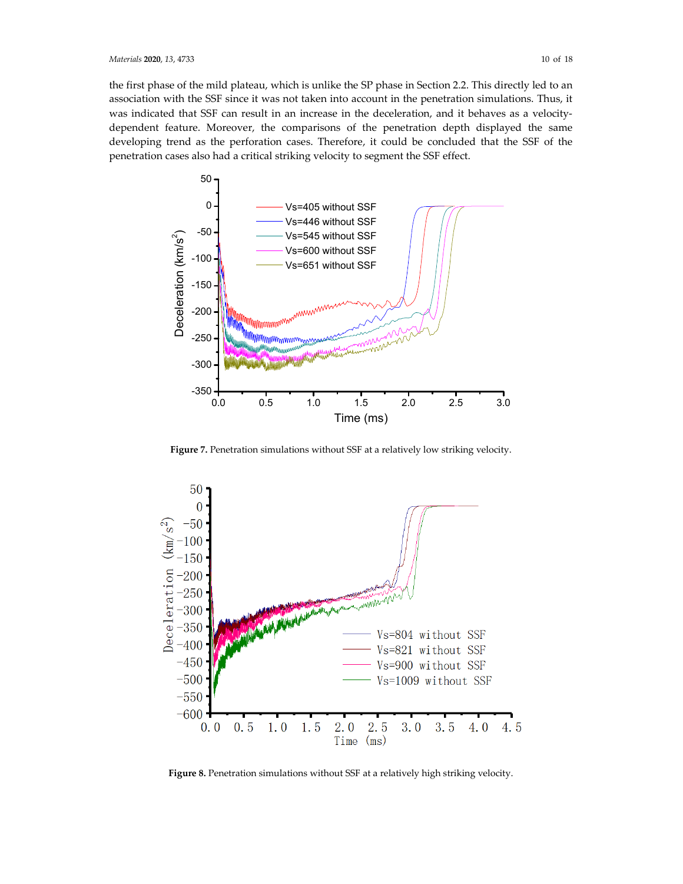the first phase of the mild plateau, which is unlike the SP phase in Section 2.2. This directly led to an association with the SSF since it was not taken into account in the penetration simulations. Thus, it was indicated that SSF can result in an increase in the deceleration, and it behaves as a velocitydependent feature. Moreover, the comparisons of the penetration depth displayed the same developing trend as the perforation cases. Therefore, it could be concluded that the SSF of the penetration cases also had a critical striking velocity to segment the SSF effect.



Figure 7. Penetration simulations without SSF at a relatively low striking velocity.



Figure 8. Penetration simulations without SSF at a relatively high striking velocity.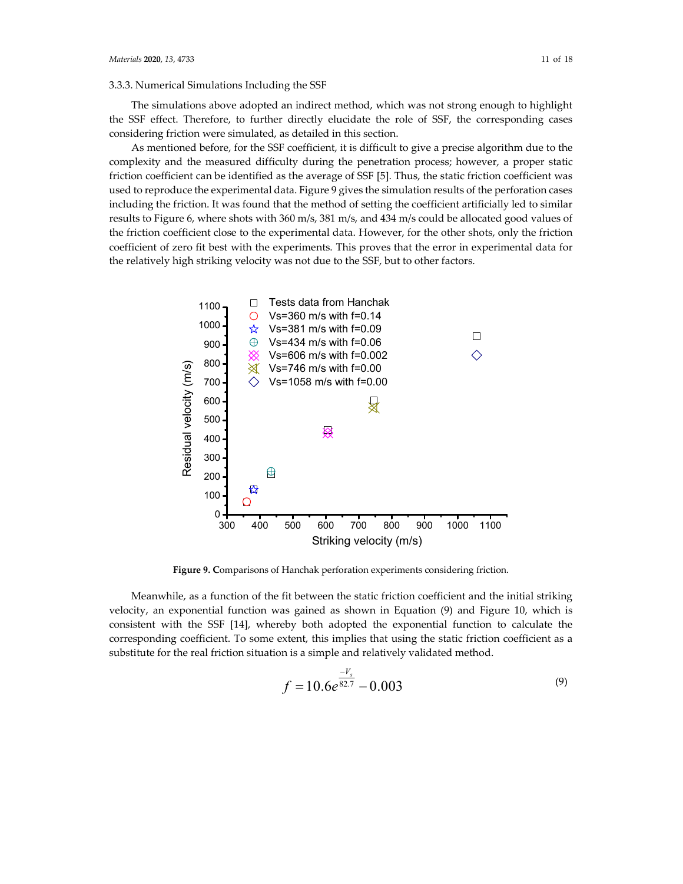# 3.3.3. Numerical Simulations Including the SSF

The simulations above adopted an indirect method, which was not strong enough to highlight the SSF effect. Therefore, to further directly elucidate the role of SSF, the corresponding cases considering friction were simulated, as detailed in this section.

As mentioned before, for the SSF coefficient, it is difficult to give a precise algorithm due to the complexity and the measured difficulty during the penetration process; however, a proper static friction coefficient can be identified as the average of SSF [5]. Thus, the static friction coefficient was used to reproduce the experimental data. Figure 9 gives the simulation results of the perforation cases including the friction. It was found that the method of setting the coefficient artificially led to similar results to Figure 6, where shots with 360 m/s, 381 m/s, and 434 m/s could be allocated good values of the friction coefficient close to the experimental data. However, for the other shots, only the friction coefficient of zero fit best with the experiments. This proves that the error in experimental data for the relatively high striking velocity was not due to the SSF, but to other factors.



**Figure 9. C**omparisons of Hanchak perforation experiments considering friction.

Meanwhile, as a function of the fit between the static friction coefficient and the initial striking velocity, an exponential function was gained as shown in Equation (9) and Figure 10, which is consistent with the SSF [14], whereby both adopted the exponential function to calculate the corresponding coefficient. To some extent, this implies that using the static friction coefficient as a substitute for the real friction situation is a simple and relatively validated method.

$$
f = 10.6e^{\frac{-V_s}{82.7}} - 0.003
$$
\n(9)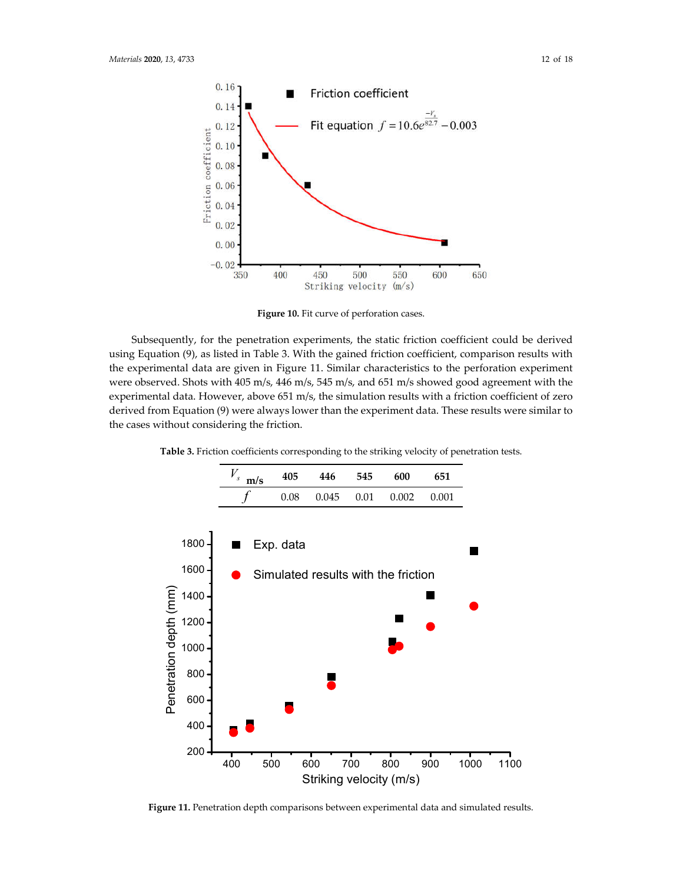

**Figure 10.** Fit curve of perforation cases.

Subsequently, for the penetration experiments, the static friction coefficient could be derived using Equation (9), as listed in Table 3. With the gained friction coefficient, comparison results with the experimental data are given in Figure 11. Similar characteristics to the perforation experiment were observed. Shots with 405 m/s, 446 m/s, 545 m/s, and 651 m/s showed good agreement with the experimental data. However, above 651 m/s, the simulation results with a friction coefficient of zero derived from Equation (9) were always lower than the experiment data. These results were similar to the cases without considering the friction.

**Table 3.** Friction coefficients corresponding to the striking velocity of penetration tests.



**Figure 11.** Penetration depth comparisons between experimental data and simulated results.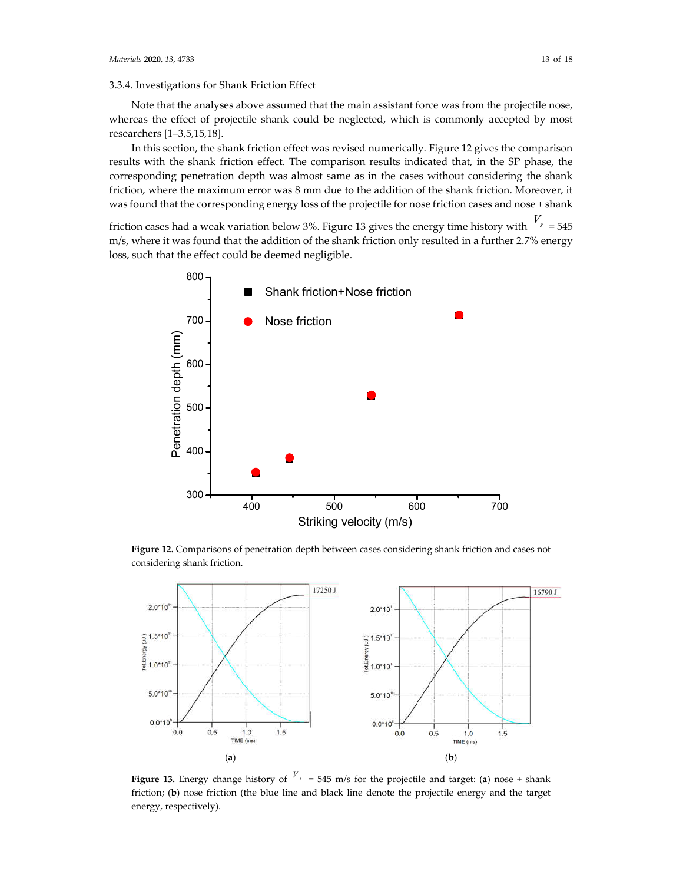# 3.3.4. Investigations for Shank Friction Effect

Note that the analyses above assumed that the main assistant force was from the projectile nose, whereas the effect of projectile shank could be neglected, which is commonly accepted by most researchers [1–3,5,15,18].

In this section, the shank friction effect was revised numerically. Figure 12 gives the comparison results with the shank friction effect. The comparison results indicated that, in the SP phase, the corresponding penetration depth was almost same as in the cases without considering the shank friction, where the maximum error was 8 mm due to the addition of the shank friction. Moreover, it was found that the corresponding energy loss of the projectile for nose friction cases and nose + shank

friction cases had a weak variation below 3%. Figure 13 gives the energy time history with  $V_s$  = 545 m/s, where it was found that the addition of the shank friction only resulted in a further 2.7% energy loss, such that the effect could be deemed negligible.



**Figure 12.** Comparisons of penetration depth between cases considering shank friction and cases not considering shank friction.



**Figure 13.** Energy change history of  $V_s$  = 545 m/s for the projectile and target: (a) nose + shank friction; (**b**) nose friction (the blue line and black line denote the projectile energy and the target energy, respectively).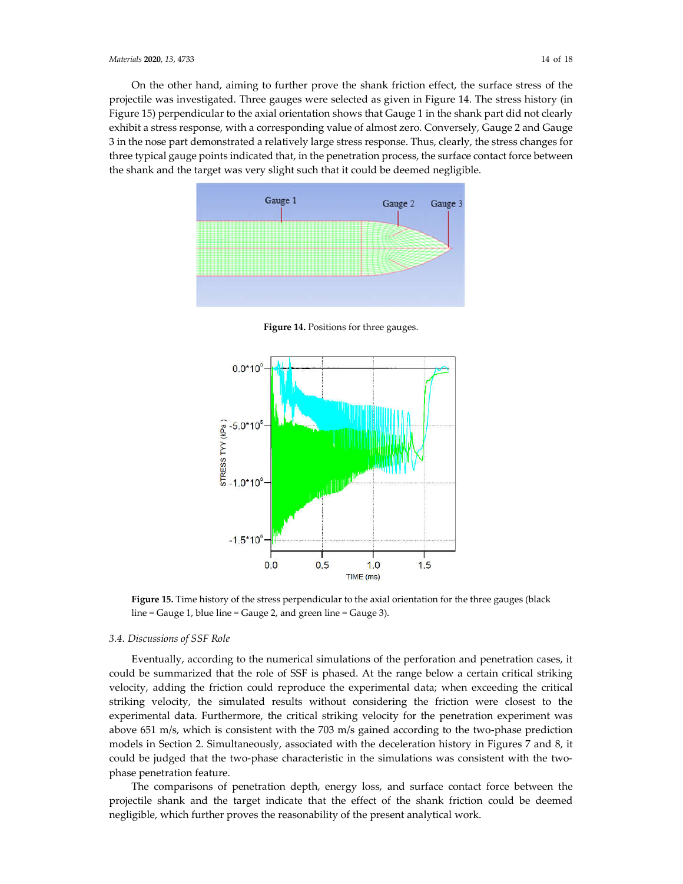On the other hand, aiming to further prove the shank friction effect, the surface stress of the projectile was investigated. Three gauges were selected as given in Figure 14. The stress history (in Figure 15) perpendicular to the axial orientation shows that Gauge 1 in the shank part did not clearly exhibit a stress response, with a corresponding value of almost zero. Conversely, Gauge 2 and Gauge 3 in the nose part demonstrated a relatively large stress response. Thus, clearly, the stress changes for three typical gauge points indicated that, in the penetration process, the surface contact force between the shank and the target was very slight such that it could be deemed negligible.



**Figure 14.** Positions for three gauges.



**Figure 15.** Time history of the stress perpendicular to the axial orientation for the three gauges (black line = Gauge 1, blue line = Gauge 2, and green line = Gauge 3).

### *3.4. Discussions of SSF Role*

Eventually, according to the numerical simulations of the perforation and penetration cases, it could be summarized that the role of SSF is phased. At the range below a certain critical striking velocity, adding the friction could reproduce the experimental data; when exceeding the critical striking velocity, the simulated results without considering the friction were closest to the experimental data. Furthermore, the critical striking velocity for the penetration experiment was above 651 m/s, which is consistent with the 703 m/s gained according to the two-phase prediction models in Section 2. Simultaneously, associated with the deceleration history in Figures 7 and 8, it could be judged that the two-phase characteristic in the simulations was consistent with the twophase penetration feature.

The comparisons of penetration depth, energy loss, and surface contact force between the projectile shank and the target indicate that the effect of the shank friction could be deemed negligible, which further proves the reasonability of the present analytical work.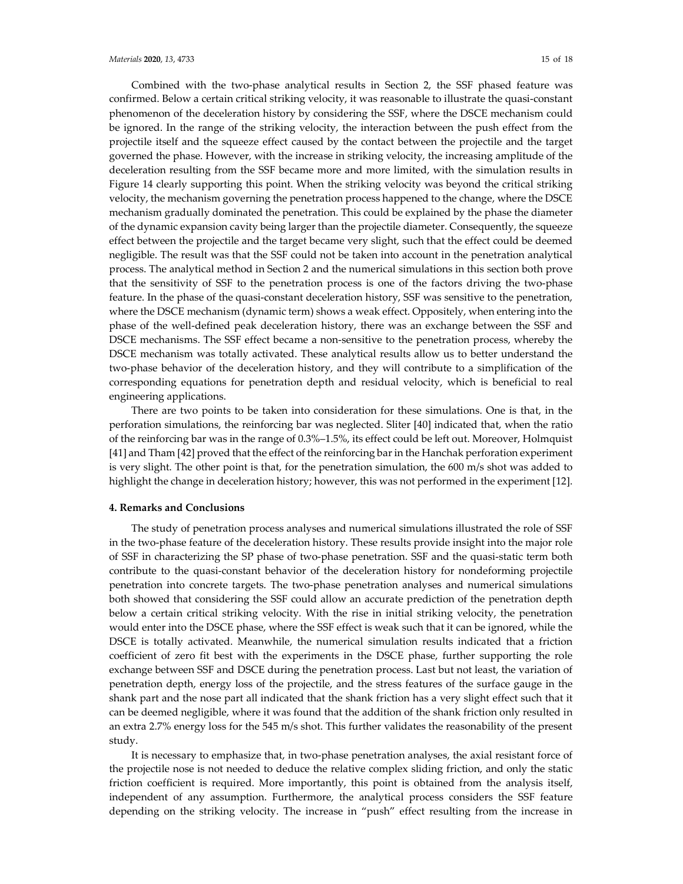Combined with the two-phase analytical results in Section 2, the SSF phased feature was confirmed. Below a certain critical striking velocity, it was reasonable to illustrate the quasi-constant phenomenon of the deceleration history by considering the SSF, where the DSCE mechanism could be ignored. In the range of the striking velocity, the interaction between the push effect from the projectile itself and the squeeze effect caused by the contact between the projectile and the target governed the phase. However, with the increase in striking velocity, the increasing amplitude of the deceleration resulting from the SSF became more and more limited, with the simulation results in Figure 14 clearly supporting this point. When the striking velocity was beyond the critical striking velocity, the mechanism governing the penetration process happened to the change, where the DSCE mechanism gradually dominated the penetration. This could be explained by the phase the diameter of the dynamic expansion cavity being larger than the projectile diameter. Consequently, the squeeze effect between the projectile and the target became very slight, such that the effect could be deemed negligible. The result was that the SSF could not be taken into account in the penetration analytical process. The analytical method in Section 2 and the numerical simulations in this section both prove that the sensitivity of SSF to the penetration process is one of the factors driving the two-phase feature. In the phase of the quasi-constant deceleration history, SSF was sensitive to the penetration, where the DSCE mechanism (dynamic term) shows a weak effect. Oppositely, when entering into the phase of the well-defined peak deceleration history, there was an exchange between the SSF and DSCE mechanisms. The SSF effect became a non-sensitive to the penetration process, whereby the DSCE mechanism was totally activated. These analytical results allow us to better understand the two-phase behavior of the deceleration history, and they will contribute to a simplification of the corresponding equations for penetration depth and residual velocity, which is beneficial to real engineering applications.

There are two points to be taken into consideration for these simulations. One is that, in the perforation simulations, the reinforcing bar was neglected. Sliter [40] indicated that, when the ratio of the reinforcing bar was in the range of 0.3%–1.5%, its effect could be left out. Moreover, Holmquist [41] and Tham [42] proved that the effect of the reinforcing bar in the Hanchak perforation experiment is very slight. The other point is that, for the penetration simulation, the 600 m/s shot was added to highlight the change in deceleration history; however, this was not performed in the experiment [12].

# **4. Remarks and Conclusions**

The study of penetration process analyses and numerical simulations illustrated the role of SSF in the two-phase feature of the deceleration history. These results provide insight into the major role of SSF in characterizing the SP phase of two-phase penetration. SSF and the quasi-static term both contribute to the quasi-constant behavior of the deceleration history for nondeforming projectile penetration into concrete targets. The two-phase penetration analyses and numerical simulations both showed that considering the SSF could allow an accurate prediction of the penetration depth below a certain critical striking velocity. With the rise in initial striking velocity, the penetration would enter into the DSCE phase, where the SSF effect is weak such that it can be ignored, while the DSCE is totally activated. Meanwhile, the numerical simulation results indicated that a friction coefficient of zero fit best with the experiments in the DSCE phase, further supporting the role exchange between SSF and DSCE during the penetration process. Last but not least, the variation of penetration depth, energy loss of the projectile, and the stress features of the surface gauge in the shank part and the nose part all indicated that the shank friction has a very slight effect such that it can be deemed negligible, where it was found that the addition of the shank friction only resulted in an extra 2.7% energy loss for the 545 m/s shot. This further validates the reasonability of the present study.

It is necessary to emphasize that, in two-phase penetration analyses, the axial resistant force of the projectile nose is not needed to deduce the relative complex sliding friction, and only the static friction coefficient is required. More importantly, this point is obtained from the analysis itself, independent of any assumption. Furthermore, the analytical process considers the SSF feature depending on the striking velocity. The increase in "push" effect resulting from the increase in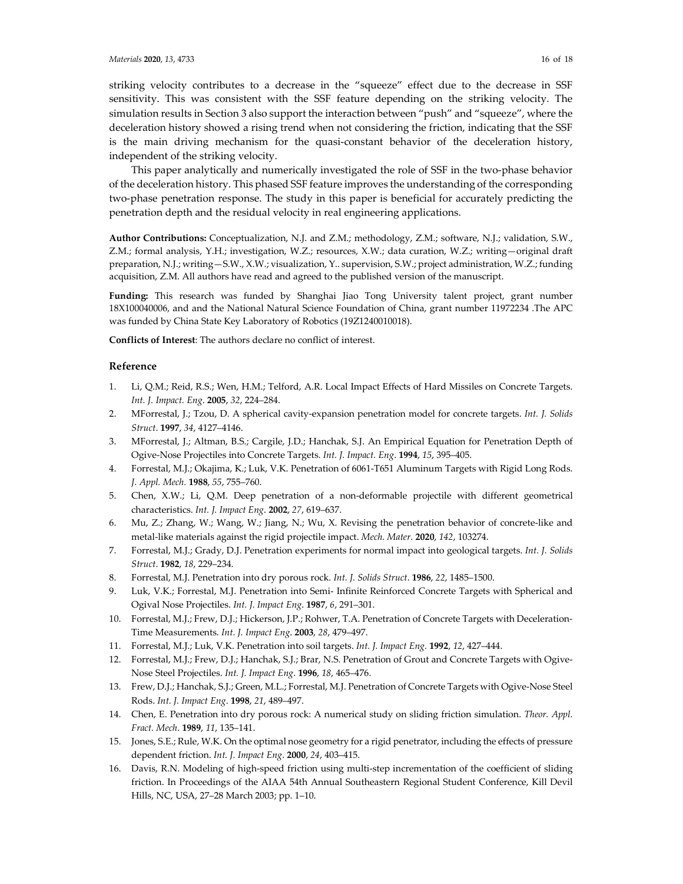striking velocity contributes to a decrease in the "squeeze" effect due to the decrease in SSF sensitivity. This was consistent with the SSF feature depending on the striking velocity. The simulation results in Section 3 also support the interaction between "push" and "squeeze", where the deceleration history showed a rising trend when not considering the friction, indicating that the SSF is the main driving mechanism for the quasi-constant behavior of the deceleration history, independent of the striking velocity.

This paper analytically and numerically investigated the role of SSF in the two-phase behavior of the deceleration history. This phased SSF feature improves the understanding of the corresponding two-phase penetration response. The study in this paper is beneficial for accurately predicting the penetration depth and the residual velocity in real engineering applications.

**Author Contributions:** Conceptualization, N.J. and Z.M.; methodology, Z.M.; software, N.J.; validation, S.W., Z.M.; formal analysis, Y.H.; investigation, W.Z.; resources, X.W.; data curation, W.Z.; writing—original draft preparation, N.J.; writing—S.W., X.W.; visualization, Y.. supervision, S.W.; project administration, W.Z.; funding acquisition, Z.M. All authors have read and agreed to the published version of the manuscript.

**Funding:** This research was funded by Shanghai Jiao Tong University talent project, grant number 18X100040006, and and the National Natural Science Foundation of China, grant number 11972234 .The APC was funded by China State Key Laboratory of Robotics (19Z1240010018).

**Conflicts of Interest**: The authors declare no conflict of interest.

# **Reference**

- 1. Li, Q.M.; Reid, R.S.; Wen, H.M.; Telford, A.R. Local Impact Effects of Hard Missiles on Concrete Targets. *Int. J. Impact. Eng*. **2005**, *32*, 224–284.
- 2. MForrestal, J.; Tzou, D. A spherical cavity-expansion penetration model for concrete targets. *Int. J. Solids Struct*. **1997**, *34*, 4127–4146.
- 3. MForrestal, J.; Altman, B.S.; Cargile, J.D.; Hanchak, S.J. An Empirical Equation for Penetration Depth of Ogive-Nose Projectiles into Concrete Targets. *Int. J. Impact. Eng*. **1994**, *15*, 395–405.
- 4. Forrestal, M.J.; Okajima, K.; Luk, V.K. Penetration of 6061-T651 Aluminum Targets with Rigid Long Rods. *J. Appl. Mech.* **1988**, *55*, 755–760.
- 5. Chen, X.W.; Li, Q.M. Deep penetration of a non-deformable projectile with different geometrical characteristics. *Int. J. Impact Eng*. **2002**, *27*, 619–637.
- 6. Mu, Z.; Zhang, W.; Wang, W.; Jiang, N.; Wu, X. Revising the penetration behavior of concrete-like and metal-like materials against the rigid projectile impact. *Mech. Mater.* **2020**, *142*, 103274.
- 7. Forrestal, M.J.; Grady, D.J. Penetration experiments for normal impact into geological targets. *Int. J. Solids Struct*. **1982**, *18*, 229–234.
- 8. Forrestal, M.J. Penetration into dry porous rock. *Int. J. Solids Struct*. **1986**, *22*, 1485–1500.
- 9. Luk, V.K.; Forrestal, M.J. Penetration into Semi- Infinite Reinforced Concrete Targets with Spherical and Ogival Nose Projectiles. *Int. J. Impact Eng*. **1987**, *6*, 291–301.
- 10. Forrestal, M.J.; Frew, D.J.; Hickerson, J.P.; Rohwer, T.A. Penetration of Concrete Targets with Deceleration-Time Measurements. *Int. J. Impact Eng*. **2003**, *28*, 479–497.
- 11. Forrestal, M.J.; Luk, V.K. Penetration into soil targets. *Int. J. Impact Eng.* **1992**, *12*, 427–444.
- 12. Forrestal, M.J.; Frew, D.J.; Hanchak, S.J.; Brar, N.S. Penetration of Grout and Concrete Targets with Ogive-Nose Steel Projectiles. *Int. J. Impact Eng*. **1996**, *18*, 465–476.
- 13. Frew, D.J.; Hanchak, S.J.; Green, M.L.; Forrestal, M.J. Penetration of Concrete Targets with Ogive-Nose Steel Rods. *Int. J. Impact Eng*. **1998**, *21*, 489–497.
- 14. Chen, E. Penetration into dry porous rock: A numerical study on sliding friction simulation. *Theor. Appl. Fract. Mech*. **1989**, *11*, 135–141.
- 15. Jones, S.E.; Rule, W.K. On the optimal nose geometry for a rigid penetrator, including the effects of pressure dependent friction. *Int. J. Impact Eng*. **2000**, *24*, 403–415.
- 16. Davis, R.N. Modeling of high-speed friction using multi-step incrementation of the coefficient of sliding friction. In Proceedings of the AIAA 54th Annual Southeastern Regional Student Conference, Kill Devil Hills, NC, USA, 27–28 March 2003; pp. 1–10.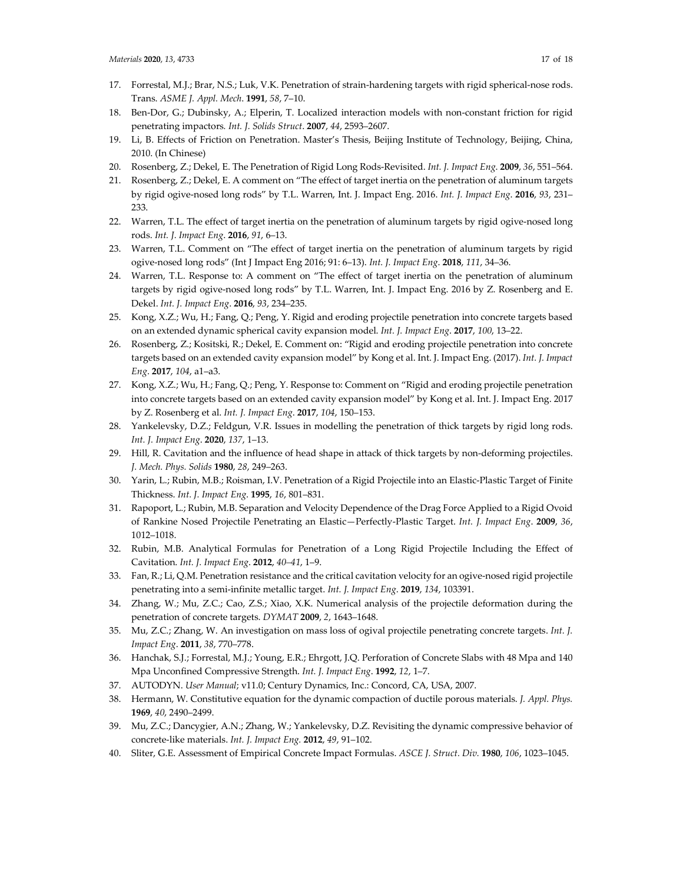- 17. Forrestal, M.J.; Brar, N.S.; Luk, V.K. Penetration of strain-hardening targets with rigid spherical-nose rods. Trans. *ASME J. Appl. Mech*. **1991**, *58*, 7–10.
- 18. Ben-Dor, G.; Dubinsky, A.; Elperin, T. Localized interaction models with non-constant friction for rigid penetrating impactors*. Int. J. Solids Struct*. **2007**, *44*, 2593–2607.
- 19. Li, B. Effects of Friction on Penetration. Master's Thesis, Beijing Institute of Technology, Beijing, China, 2010. (In Chinese)
- 20. Rosenberg, Z.; Dekel, E. The Penetration of Rigid Long Rods-Revisited. *Int. J. Impact Eng*. **2009**, *36*, 551–564.
- 21. Rosenberg, Z.; Dekel, E. A comment on "The effect of target inertia on the penetration of aluminum targets by rigid ogive-nosed long rods" by T.L. Warren, Int. J. Impact Eng. 2016. *Int. J. Impact Eng*. **2016**, *93*, 231– 233.
- 22. Warren, T.L. The effect of target inertia on the penetration of aluminum targets by rigid ogive-nosed long rods. *Int. J. Impact Eng*. **2016**, *91*, 6–13.
- 23. Warren, T.L. Comment on "The effect of target inertia on the penetration of aluminum targets by rigid ogive-nosed long rods" (Int J Impact Eng 2016; 91: 6–13). *Int. J. Impact Eng*. **2018**, *111*, 34–36.
- 24. Warren, T.L. Response to: A comment on "The effect of target inertia on the penetration of aluminum targets by rigid ogive-nosed long rods" by T.L. Warren, Int. J. Impact Eng. 2016 by Z. Rosenberg and E. Dekel. *Int. J. Impact Eng*. **2016**, *93*, 234–235.
- 25. Kong, X.Z.; Wu, H.; Fang, Q.; Peng, Y. Rigid and eroding projectile penetration into concrete targets based on an extended dynamic spherical cavity expansion model. *Int. J. Impact Eng*. **2017**, *100*, 13–22.
- 26. Rosenberg, Z.; Kositski, R.; Dekel, E. Comment on: "Rigid and eroding projectile penetration into concrete targets based on an extended cavity expansion model" by Kong et al. Int. J. Impact Eng. (2017). *Int. J. Impact Eng*. **2017**, *104*, a1–a3.
- 27. Kong, X.Z.; Wu, H.; Fang, Q.; Peng, Y. Response to: Comment on "Rigid and eroding projectile penetration into concrete targets based on an extended cavity expansion model" by Kong et al. Int. J. Impact Eng. 2017 by Z. Rosenberg et al. *Int. J. Impact Eng*. **2017**, *104*, 150–153.
- 28. Yankelevsky, D.Z.; Feldgun, V.R. Issues in modelling the penetration of thick targets by rigid long rods. *Int. J. Impact Eng*. **2020**, *137*, 1–13.
- 29. Hill, R. Cavitation and the influence of head shape in attack of thick targets by non-deforming projectiles. *J. Mech. Phys. Solids* **1980**, *28*, 249–263.
- 30. Yarin, L.; Rubin, M.B.; Roisman, I.V. Penetration of a Rigid Projectile into an Elastic-Plastic Target of Finite Thickness. *Int. J. Impact Eng*. **1995**, *16*, 801–831.
- 31. Rapoport, L.; Rubin, M.B. Separation and Velocity Dependence of the Drag Force Applied to a Rigid Ovoid of Rankine Nosed Projectile Penetrating an Elastic—Perfectly-Plastic Target. *Int. J. Impact Eng*. **2009**, *36*, 1012–1018.
- 32. Rubin, M.B. Analytical Formulas for Penetration of a Long Rigid Projectile Including the Effect of Cavitation. *Int. J. Impact Eng*. **2012**, *40–41*, 1–9.
- 33. Fan, R.; Li, Q.M. Penetration resistance and the critical cavitation velocity for an ogive-nosed rigid projectile penetrating into a semi-infinite metallic target. *Int. J. Impact Eng*. **2019**, *134*, 103391.
- 34. Zhang, W.; Mu, Z.C.; Cao, Z.S.; Xiao, X.K. Numerical analysis of the projectile deformation during the penetration of concrete targets. *DYMAT* **2009**, *2*, 1643–1648.
- 35. Mu, Z.C.; Zhang, W. An investigation on mass loss of ogival projectile penetrating concrete targets. *Int. J. Impact Eng*. **2011**, *38*, 770–778.
- 36. Hanchak, S.J.; Forrestal, M.J.; Young, E.R.; Ehrgott, J.Q. Perforation of Concrete Slabs with 48 Mpa and 140 Mpa Unconfined Compressive Strength. *Int. J. Impact Eng*. **1992**, *12*, 1–7.
- 37. AUTODYN. *User Manual*; v11.0; Century Dynamics, Inc.: Concord, CA, USA, 2007.
- 38. Hermann, W. Constitutive equation for the dynamic compaction of ductile porous materials. *J. Appl. Phys.* **1969**, *40*, 2490–2499.
- 39. Mu, Z.C.; Dancygier, A.N.; Zhang, W.; Yankelevsky, D.Z. Revisiting the dynamic compressive behavior of concrete-like materials. *Int. J. Impact Eng.* **2012**, *49*, 91–102.
- 40. Sliter, G.E. Assessment of Empirical Concrete Impact Formulas. *ASCE J. Struct. Div.* **1980**, *106*, 1023–1045.